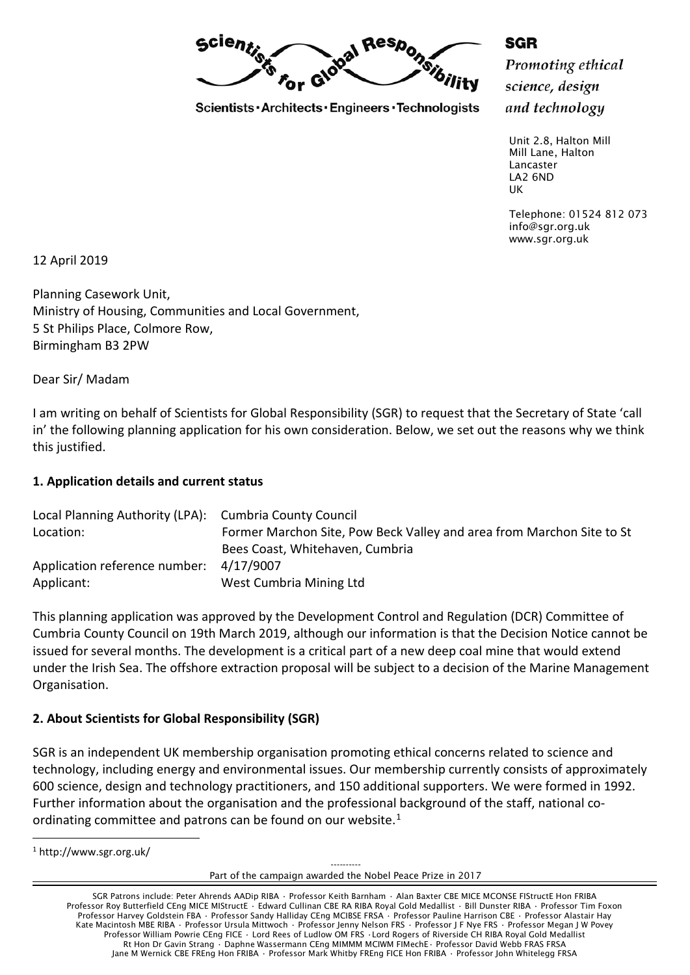Scientist Responsibility

Scientists · Architects · Engineers · Technologists

SGR Promoting ethical science, design

and technology

Unit 2.8, Halton Mill Mill Lane, Halton Lancaster LA2 6ND UK

Telephone: 01524 812 073 info@sgr.org.uk www.sgr.org.uk

12 April 2019

Planning Casework Unit, Ministry of Housing, Communities and Local Government, 5 St Philips Place, Colmore Row, Birmingham B3 2PW

Dear Sir/ Madam

I am writing on behalf of Scientists for Global Responsibility (SGR) to request that the Secretary of State 'call in' the following planning application for his own consideration. Below, we set out the reasons why we think this justified.

#### **1. Application details and current status**

| Local Planning Authority (LPA): Cumbria County Council |                                                                       |
|--------------------------------------------------------|-----------------------------------------------------------------------|
| Location:                                              | Former Marchon Site, Pow Beck Valley and area from Marchon Site to St |
|                                                        | Bees Coast, Whitehaven, Cumbria                                       |
| Application reference number: 4/17/9007                |                                                                       |
| Applicant:                                             | West Cumbria Mining Ltd                                               |

This planning application was approved by the Development Control and Regulation (DCR) Committee of Cumbria County Council on 19th March 2019, although our information is that the Decision Notice cannot be issued for several months. The development is a critical part of a new deep coal mine that would extend under the Irish Sea. The offshore extraction proposal will be subject to a decision of the Marine Management Organisation.

#### **2. About Scientists for Global Responsibility (SGR)**

SGR is an independent UK membership organisation promoting ethical concerns related to science and technology, including energy and environmental issues. Our membership currently consists of approximately 600 science, design and technology practitioners, and 150 additional supporters. We were formed in 1992. Further information about the organisation and the professional background of the staff, national co-ordinating committee and patrons can be found on our website.<sup>[1](#page-0-0)</sup>

<span id="page-0-0"></span><sup>1</sup> http://www.sgr.org.uk/

 $\overline{a}$ 

---------- Part of the campaign awarded the Nobel Peace Prize in 2017

SGR Patrons include: Peter Ahrends AADip RIBA • Professor Keith Barnham • Alan Baxter CBE MICE MCONSE FIStructE Hon FRIBA Professor Roy Butterfield CEng MICE MIStructE · Edward Cullinan CBE RA RIBA Royal Gold Medallist · Bill Dunster RIBA · Professor Tim Foxon Professor Harvey Goldstein FBA · Professor Sandy Halliday CEng MCIBSE FRSA · Professor Pauline Harrison CBE · Professor Alastair Hay Kate Macintosh MBE RIBA · Professor Ursula Mittwoch · Professor Jenny Nelson FRS · Professor J F Nye FRS · Professor Megan J W Povey Professor William Powrie CEng FICE • Lord Rees of Ludlow OM FRS •Lord Rogers of Riverside CH RIBA Royal Gold Medallist Rt Hon Dr Gavin Strang • Daphne Wassermann CEng MIMMM MCIWM FIMechE • Professor David Webb FRAS FRSA Jane M Wernick CBE FREng Hon FRIBA • Professor Mark Whitby FREng FICE Hon FRIBA • Professor John Whitelegg FRSA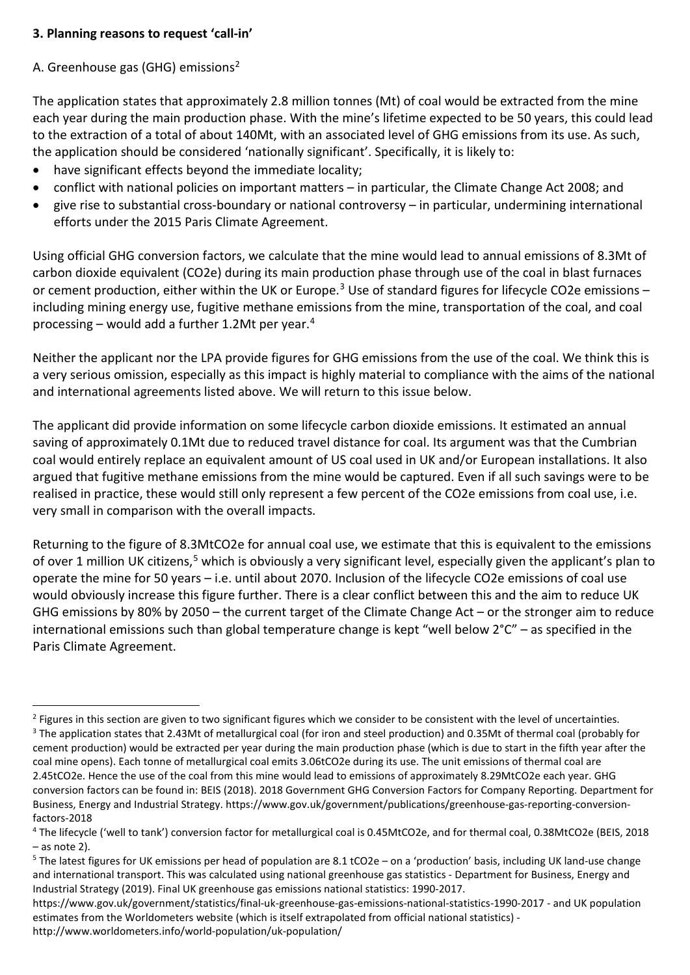## **3. Planning reasons to request 'call-in'**

# A. Greenhouse gas (GHG) emissions[2](#page-1-0)

The application states that approximately 2.8 million tonnes (Mt) of coal would be extracted from the mine each year during the main production phase. With the mine's lifetime expected to be 50 years, this could lead to the extraction of a total of about 140Mt, with an associated level of GHG emissions from its use. As such, the application should be considered 'nationally significant'. Specifically, it is likely to:

- have significant effects beyond the immediate locality;
- conflict with national policies on important matters in particular, the Climate Change Act 2008; and
- give rise to substantial cross-boundary or national controversy in particular, undermining international efforts under the 2015 Paris Climate Agreement.

Using official GHG conversion factors, we calculate that the mine would lead to annual emissions of 8.3Mt of carbon dioxide equivalent (CO2e) during its main production phase through use of the coal in blast furnaces or cement production, either within the UK or Europe.<sup>[3](#page-1-1)</sup> Use of standard figures for lifecycle CO2e emissions  $$ including mining energy use, fugitive methane emissions from the mine, transportation of the coal, and coal processing – would add a further 1.2Mt per year. $4$ 

Neither the applicant nor the LPA provide figures for GHG emissions from the use of the coal. We think this is a very serious omission, especially as this impact is highly material to compliance with the aims of the national and international agreements listed above. We will return to this issue below.

The applicant did provide information on some lifecycle carbon dioxide emissions. It estimated an annual saving of approximately 0.1Mt due to reduced travel distance for coal. Its argument was that the Cumbrian coal would entirely replace an equivalent amount of US coal used in UK and/or European installations. It also argued that fugitive methane emissions from the mine would be captured. Even if all such savings were to be realised in practice, these would still only represent a few percent of the CO2e emissions from coal use, i.e. very small in comparison with the overall impacts.

Returning to the figure of 8.3MtCO2e for annual coal use, we estimate that this is equivalent to the emissions of over 1 million UK citizens,<sup>[5](#page-1-3)</sup> which is obviously a very significant level, especially given the applicant's plan to operate the mine for 50 years – i.e. until about 2070. Inclusion of the lifecycle CO2e emissions of coal use would obviously increase this figure further. There is a clear conflict between this and the aim to reduce UK GHG emissions by 80% by 2050 – the current target of the Climate Change Act – or the stronger aim to reduce international emissions such than global temperature change is kept "well below 2°C" – as specified in the Paris Climate Agreement.

<span id="page-1-1"></span><span id="page-1-0"></span> $\overline{a}$  $2$  Figures in this section are given to two significant figures which we consider to be consistent with the level of uncertainties. <sup>3</sup> The application states that 2.43Mt of metallurgical coal (for iron and steel production) and 0.35Mt of thermal coal (probably for cement production) would be extracted per year during the main production phase (which is due to start in the fifth year after the coal mine opens). Each tonne of metallurgical coal emits 3.06tCO2e during its use. The unit emissions of thermal coal are 2.45tCO2e. Hence the use of the coal from this mine would lead to emissions of approximately 8.29MtCO2e each year. GHG conversion factors can be found in: BEIS (2018). 2018 Government GHG Conversion Factors for Company Reporting. Department for Business, Energy and Industrial Strategy. https://www.gov.uk/government/publications/greenhouse-gas-reporting-conversionfactors-2018

<span id="page-1-2"></span><sup>4</sup> The lifecycle ('well to tank') conversion factor for metallurgical coal is 0.45MtCO2e, and for thermal coal, 0.38MtCO2e (BEIS, 2018 – as note 2).

<span id="page-1-3"></span><sup>&</sup>lt;sup>5</sup> The latest figures for UK emissions per head of population are 8.1 tCO2e – on a 'production' basis, including UK land-use change and international transport. This was calculated using national greenhouse gas statistics - Department for Business, Energy and Industrial Strategy (2019). Final UK greenhouse gas emissions national statistics: 1990-2017.

https://www.gov.uk/government/statistics/final-uk-greenhouse-gas-emissions-national-statistics-1990-2017 - and UK population estimates from the Worldometers website (which is itself extrapolated from official national statistics) http://www.worldometers.info/world-population/uk-population/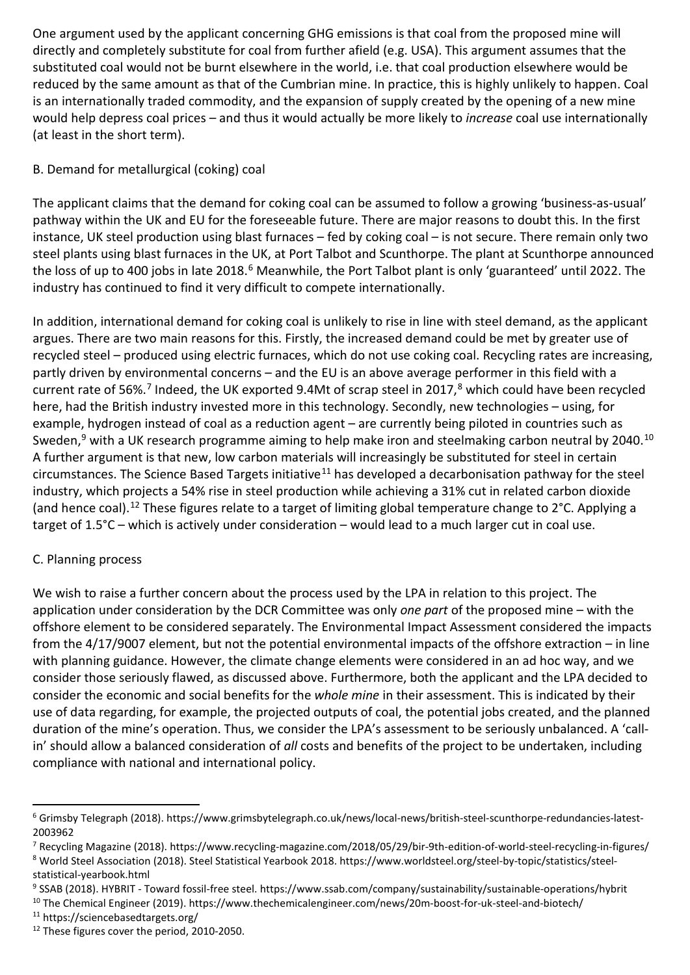One argument used by the applicant concerning GHG emissions is that coal from the proposed mine will directly and completely substitute for coal from further afield (e.g. USA). This argument assumes that the substituted coal would not be burnt elsewhere in the world, i.e. that coal production elsewhere would be reduced by the same amount as that of the Cumbrian mine. In practice, this is highly unlikely to happen. Coal is an internationally traded commodity, and the expansion of supply created by the opening of a new mine would help depress coal prices – and thus it would actually be more likely to *increase* coal use internationally (at least in the short term).

## B. Demand for metallurgical (coking) coal

The applicant claims that the demand for coking coal can be assumed to follow a growing 'business-as-usual' pathway within the UK and EU for the foreseeable future. There are major reasons to doubt this. In the first instance, UK steel production using blast furnaces – fed by coking coal – is not secure. There remain only two steel plants using blast furnaces in the UK, at Port Talbot and Scunthorpe. The plant at Scunthorpe announced the loss of up to 400 jobs in late 2018.<sup>[6](#page-2-0)</sup> Meanwhile, the Port Talbot plant is only 'guaranteed' until 2022. The industry has continued to find it very difficult to compete internationally.

In addition, international demand for coking coal is unlikely to rise in line with steel demand, as the applicant argues. There are two main reasons for this. Firstly, the increased demand could be met by greater use of recycled steel – produced using electric furnaces, which do not use coking coal. Recycling rates are increasing, partly driven by environmental concerns – and the EU is an above average performer in this field with a current rate of 56%.<sup>[7](#page-2-1)</sup> Indeed, the UK exported 9.4Mt of scrap steel in 2017,<sup>[8](#page-2-2)</sup> which could have been recycled here, had the British industry invested more in this technology. Secondly, new technologies – using, for example, hydrogen instead of coal as a reduction agent – are currently being piloted in countries such as Sweden,<sup>9</sup> with a UK research programme aiming to help make iron and steelmaking carbon neutral by 2040.<sup>[10](#page-2-4)</sup> A further argument is that new, low carbon materials will increasingly be substituted for steel in certain circumstances. The Science Based Targets initiative<sup>[11](#page-2-5)</sup> has developed a decarbonisation pathway for the steel industry, which projects a 54% rise in steel production while achieving a 31% cut in related carbon dioxide (and hence coal).[12](#page-2-6) These figures relate to a target of limiting global temperature change to 2°C. Applying a target of 1.5°C – which is actively under consideration – would lead to a much larger cut in coal use.

# C. Planning process

We wish to raise a further concern about the process used by the LPA in relation to this project. The application under consideration by the DCR Committee was only *one part* of the proposed mine – with the offshore element to be considered separately. The Environmental Impact Assessment considered the impacts from the 4/17/9007 element, but not the potential environmental impacts of the offshore extraction – in line with planning guidance. However, the climate change elements were considered in an ad hoc way, and we consider those seriously flawed, as discussed above. Furthermore, both the applicant and the LPA decided to consider the economic and social benefits for the *whole mine* in their assessment. This is indicated by their use of data regarding, for example, the projected outputs of coal, the potential jobs created, and the planned duration of the mine's operation. Thus, we consider the LPA's assessment to be seriously unbalanced. A 'callin' should allow a balanced consideration of *all* costs and benefits of the project to be undertaken, including compliance with national and international policy.

 $\overline{a}$ 

<span id="page-2-0"></span><sup>6</sup> Grimsby Telegraph (2018). https://www.grimsbytelegraph.co.uk/news/local-news/british-steel-scunthorpe-redundancies-latest-2003962

<span id="page-2-1"></span><sup>7</sup> Recycling Magazine (2018). https://www.recycling-magazine.com/2018/05/29/bir-9th-edition-of-world-steel-recycling-in-figures/ <sup>8</sup> World Steel Association (2018). Steel Statistical Yearbook 2018. https://www.worldsteel.org/steel-by-topic/statistics/steel-

<span id="page-2-2"></span>statistical-yearbook.html

<span id="page-2-3"></span><sup>9</sup> SSAB (2018). HYBRIT - Toward fossil-free steel. https://www.ssab.com/company/sustainability/sustainable-operations/hybrit

<span id="page-2-4"></span><sup>10</sup> The Chemical Engineer (2019). https://www.thechemicalengineer.com/news/20m-boost-for-uk-steel-and-biotech/

<span id="page-2-5"></span><sup>11</sup> https://sciencebasedtargets.org/

<span id="page-2-6"></span><sup>&</sup>lt;sup>12</sup> These figures cover the period, 2010-2050.